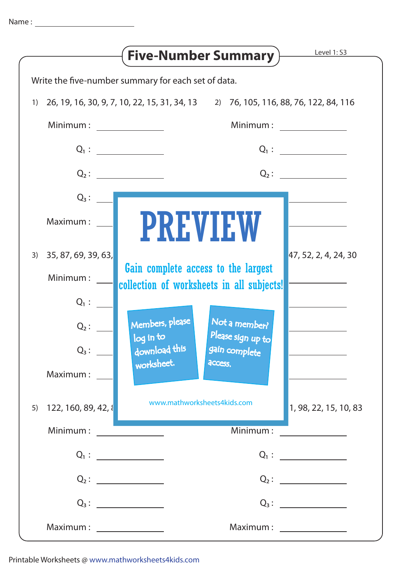|                                                     | Level 1: S3<br><b>Five-Number Summary</b>                                                                                                                                                                                                                                                                                                                                                                                                                                               |  |
|-----------------------------------------------------|-----------------------------------------------------------------------------------------------------------------------------------------------------------------------------------------------------------------------------------------------------------------------------------------------------------------------------------------------------------------------------------------------------------------------------------------------------------------------------------------|--|
| Write the five-number summary for each set of data. |                                                                                                                                                                                                                                                                                                                                                                                                                                                                                         |  |
| 1)                                                  | 26, 19, 16, 30, 9, 7, 10, 22, 15, 31, 34, 13   2) 76, 105, 116, 88, 76, 122, 84, 116                                                                                                                                                                                                                                                                                                                                                                                                    |  |
| Minimum:                                            | Minimum:                                                                                                                                                                                                                                                                                                                                                                                                                                                                                |  |
|                                                     |                                                                                                                                                                                                                                                                                                                                                                                                                                                                                         |  |
|                                                     | $Q_2$ :<br>$Q_2$ :                                                                                                                                                                                                                                                                                                                                                                                                                                                                      |  |
| $Q_3:$                                              |                                                                                                                                                                                                                                                                                                                                                                                                                                                                                         |  |
| Maximum:                                            | <b>PREVIEW</b>                                                                                                                                                                                                                                                                                                                                                                                                                                                                          |  |
| 35, 87, 69, 39, 63,<br>3)                           | 47, 52, 2, 4, 24, 30                                                                                                                                                                                                                                                                                                                                                                                                                                                                    |  |
| Minimum:                                            | Gain complete access to the largest<br>collection of worksheets in all subjects!                                                                                                                                                                                                                                                                                                                                                                                                        |  |
| $Q_1$ :                                             |                                                                                                                                                                                                                                                                                                                                                                                                                                                                                         |  |
| $Q_2$ :                                             | Members, please<br>Not a member?<br>Please sign up to<br>log in to                                                                                                                                                                                                                                                                                                                                                                                                                      |  |
| $Q_3$ :                                             | download this<br>gain complete                                                                                                                                                                                                                                                                                                                                                                                                                                                          |  |
| Maximum:                                            | worksheet.<br>access.                                                                                                                                                                                                                                                                                                                                                                                                                                                                   |  |
| 122, 160, 89, 42, 8<br>5)                           | www.mathworksheets4kids.com<br>1, 98, 22, 15, 10, 83                                                                                                                                                                                                                                                                                                                                                                                                                                    |  |
| Minimum:                                            | Minimum:                                                                                                                                                                                                                                                                                                                                                                                                                                                                                |  |
|                                                     | $Q_1: \begin{tabular}{c} \multicolumn{3}{c} {\textbf{1}} & \multicolumn{3}{c} {\textbf{1}} & \multicolumn{3}{c} {\textbf{1}} \\ \multicolumn{3}{c} {\textbf{1}} & \multicolumn{3}{c} {\textbf{1}} & \multicolumn{3}{c} {\textbf{1}} \\ \multicolumn{3}{c} {\textbf{1}} & \multicolumn{3}{c} {\textbf{1}} & \multicolumn{3}{c} {\textbf{1}} \\ \multicolumn{3}{c} {\textbf{1}} & \multicolumn{3}{c} {\textbf{1}} & \multicolumn{3}{c} {\textbf{1}} \\ \multicolumn{3}{c} {\textbf{1}} &$ |  |
|                                                     | $Q_2$ :<br>$Q_2$ :                                                                                                                                                                                                                                                                                                                                                                                                                                                                      |  |
|                                                     |                                                                                                                                                                                                                                                                                                                                                                                                                                                                                         |  |
| $Maximum: \_\_\_\_\_\_\_\_\_\_\_\_\_\_\_\_\_$       | $Maximum: \_\_\_\_\_\_\_\_\_\_\_\_\_\_\_\_\_\_$                                                                                                                                                                                                                                                                                                                                                                                                                                         |  |